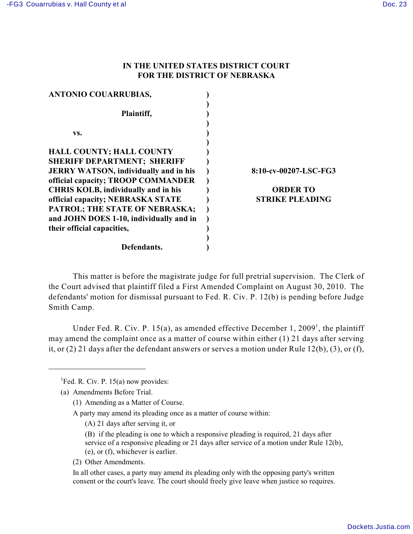## **IN THE UNITED STATES DISTRICT COURT FOR THE DISTRICT OF NEBRASKA**

| <b>ANTONIO COUARRUBIAS,</b>                  |                        |
|----------------------------------------------|------------------------|
|                                              |                        |
| Plaintiff,                                   |                        |
|                                              |                        |
| VS.                                          |                        |
|                                              |                        |
| <b>HALL COUNTY; HALL COUNTY</b>              |                        |
| <b>SHERIFF DEPARTMENT; SHERIFF</b>           |                        |
| <b>JERRY WATSON, individually and in his</b> | 8:10-cv-00207-LSC-FG3  |
| official capacity; TROOP COMMANDER           |                        |
| <b>CHRIS KOLB, individually and in his</b>   | <b>ORDER TO</b>        |
| official capacity; NEBRASKA STATE            | <b>STRIKE PLEADING</b> |
| PATROL; THE STATE OF NEBRASKA;               |                        |
| and JOHN DOES 1-10, individually and in      |                        |
| their official capacities,                   |                        |
|                                              |                        |
| Defendants.                                  |                        |

This matter is before the magistrate judge for full pretrial supervision. The Clerk of the Court advised that plaintiff filed a First Amended Complaint on August 30, 2010. The defendants' motion for dismissal pursuant to Fed. R. Civ. P. 12(b) is pending before Judge Smith Camp.

Under Fed. R. Civ. P. 15(a), as amended effective December 1, 2009<sup>1</sup>, the plaintiff may amend the complaint once as a matter of course within either (1) 21 days after serving it, or (2) 21 days after the defendant answers or serves a motion under Rule 12(b), (3), or (f),

<sup>1</sup>Fed. R. Civ. P. 15(a) now provides:

(1) Amending as a Matter of Course.

A party may amend its pleading once as a matter of course within:

- (A) 21 days after serving it, or
- (B) if the pleading is one to which a responsive pleading is required, 21 days after service of a responsive pleading or 21 days after service of a motion under Rule 12(b), (e), or (f), whichever is earlier.
- (2) Other Amendments.

In all other cases, a party may amend its pleading only with the opposing party's written consent or the court's leave. The court should freely give leave when justice so requires.

<sup>(</sup>a) Amendments Before Trial.